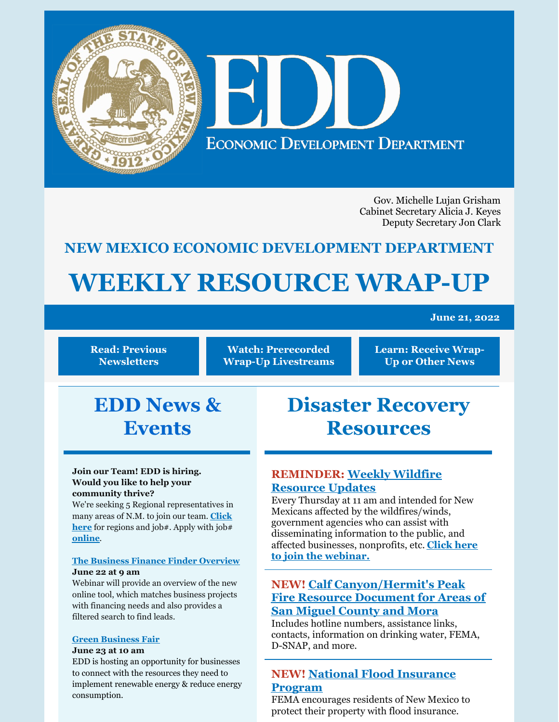

Gov. Michelle Lujan Grisham Cabinet Secretary Alicia J. Keyes Deputy Secretary Jon Clark

# **NEW MEXICO ECONOMIC DEVELOPMENT DEPARTMENT**

# **WEEKLY RESOURCE WRAP-UP**

#### **June 21, 2022**

**Read: Previous [Newsletters](https://edd.newmexico.gov/business-development/stay-informed-newsletters-and-webinars/)**

**Watch: [Prerecorded](https://youtube.com/playlist?list=PLGKR-UpukkDLaIt7LYfG78X31Y3qDftkz) Wrap-Up Livestreams**

**Learn: [Receive](https://edd.newmexico.gov/newsletter/) Wrap-Up or Other News**

# **EDD News & Events**

#### **Join our Team! EDD is hiring. Would you like to help your community thrive?**

We're seeking 5 Regional representatives in many areas of N.M. to join our team. **Click here** for [regions](https://www.facebook.com/photo/?fbid=396303895855727&set=a.235173598635425) and job#. Apply with job# **[online](https://www.spo.state.nm.us/)**.

#### **The Business Finance Finder [Overview](https://zoom.us/meeting/register/tJAode2tqTopHNKdCeCk7yhEsog8ceJqQye6) June 22 at 9 am**

Webinar will provide an overview of the new online tool, which matches business projects with financing needs and also provides a filtered search to find leads.

#### **Green [Business](https://zoom.us/meeting/register/tJwtdO6sqzsvHtT50uaabiLpmuRBoIdxeAs-) Fair**

#### **June 23 at 10 am**

EDD is hosting an opportunity for businesses to connect with the resources they need to implement renewable energy & reduce energy consumption.

# **Disaster Recovery Resources**

# **[REMINDER:](https://www.sba.gov/offices/district/nm/albuquerque?utm_medium=email&utm_source=govdelivery) Weekly Wildfire Resource Updates**

Every Thursday at 11 am and intended for New Mexicans affected by the wildfires/winds, government agencies who can assist with disseminating information to the public, and affected [businesses,](https://teams.microsoft.com/dl/launcher/launcher.html?url=%2F_%23%2Fl%2Fmeetup-join%2F19%3Ameeting_MTFkM2IyZDUtY2U0NC00ODdlLWE1ZjMtODdhNjVhYzVlNjZh%40thread.v2%2F0%3Fcontext%3D%257B%2522Tid%2522%253A%25223c89fd8a-7f68-4667-aa15-41ebf2208961%2522%252C%2522Oid%2522%253A%252203294e47-5844-411f-b8d1-822d7fb3f79d%2522%257D%26utm_medium%3Demail%26utm_source%3Dgovdelivery%26anon%3Dtrue&type=meetup-join&deeplinkId=8b5a8290-313b-4d3d-8084-79baa4010d9e&directDl=true&msLaunch=true&enableMobilePage=false&suppressPrompt=true) nonprofits, etc. **Click here to join the webinar.**

# **NEW! Calf [Canyon/Hermit's](https://www.lujan.senate.gov/wp-content/uploads/2022/06/HermitsPeak_FINAL-3.pdf) Peak Fire Resource Document for Areas of San Miguel County and Mora**

Includes hotline numbers, assistance links, contacts, information on drinking water, FEMA, D-SNAP, and more.

## **NEW! National Flood [Insurance](https://www.floodsmart.gov/) Program**

FEMA encourages residents of New Mexico to protect their property with flood insurance.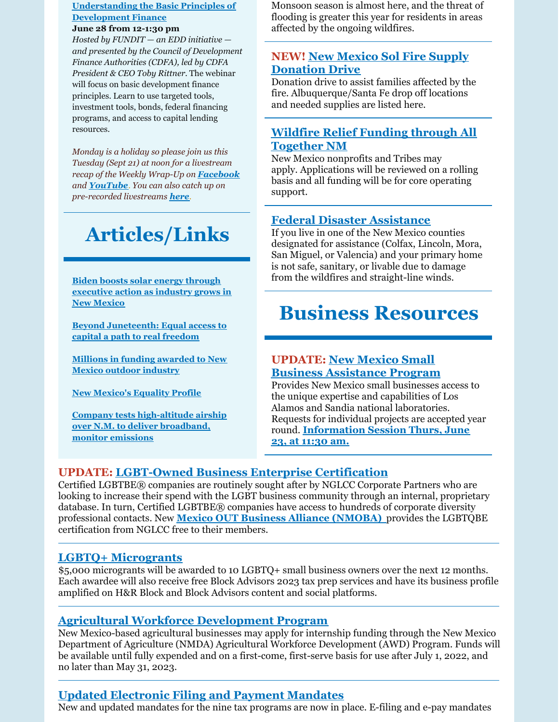#### **[Understanding](https://www.cdfa.net/cdfa/webcasts.nsf/register?open&events=1171435111) the Basic Principles of Development Finance**

#### **June 28 from 12-1:30 pm**

*Hosted by FUNDIT — an EDD initiative and presented by the Council of Development Finance Authorities (CDFA), led by CDFA President & CEO Toby Rittner.* The webinar will focus on basic development finance principles. Learn to use targeted tools, investment tools, bonds, federal financing programs, and access to capital lending resources.

*Monday is a holiday so please join us this Tuesday (Sept 21) at noon for a livestream recap of the Weekly Wrap-Up on [Facebook](https://www.facebook.com/NewMexicoEconomicDevelopment/) and [YouTube](https://www.youtube.com/channel/UCEVKlfuuLNl4R0VH6GsxZRQ). You can also catch up on pre-recorded livestreams [here](https://youtube.com/playlist?list=PLGKR-UpukkDLaIt7LYfG78X31Y3qDftkz).*

# **Articles/Links**

**Biden boosts solar energy through [executive](https://www.currentargus.com/story/news/2022/06/09/joe-biden-boosts-solar-renewable-energy-new-mexico-martin-heinrich/7543351001/) action as industry grows in New Mexico**

**Beyond [Juneteenth:](https://www.abqjournal.com/2507736/beyond-juneteenth-equal-access-to-capital-a-path-to-real-freedom.html) Equal access to capital a path to real freedom**

**Millions in funding [awarded](https://www.krqe.com/news/new-mexico/millions-in-funding-awarded-to-new-mexico-outdoor-industry/) to New Mexico outdoor industry**

**New [Mexico's](https://www.lgbtmap.org/equality-maps/profile_state/NM) Equality Profile**

**Company tests [high-altitude](https://www.santafenewmexican.com/ap/company-tests-high-altitude-airship-over-new-mexico-desert-to-deliver-broadband-monitor-oil-gas/article_a38d7bc4-9888-53ef-b112-37d125575bc3.html) airship over N.M. to deliver broadband, monitor emissions**

Monsoon season is almost here, and the threat of flooding is greater this year for residents in areas affected by the ongoing wildfires.

# **NEW! New Mexico Sol Fire Supply [Donation](https://www.newmexsol.com/) Drive**

Donation drive to assist families affected by the fire. Albuquerque/Santa Fe drop off locations and needed supplies are listed here.

# **Wildfire Relief Funding through All [Together](https://www.alltogethernm.org/apply) NM**

New Mexico nonprofits and Tribes may apply. Applications will be reviewed on a rolling basis and all funding will be for core operating support.

## **Federal Disaster [Assistance](https://www.disasterassistance.gov/)**

If you live in one of the New Mexico counties designated for assistance (Colfax, Lincoln, Mora, San Miguel, or Valencia) and your primary home is not safe, sanitary, or livable due to damage from the wildfires and straight-line winds.

# **Business Resources**

#### **UPDATE: New Mexico Small Business [Assistance](https://www.nmsbaprogram.org/) Program**

Provides New Mexico small businesses access to the unique expertise and capabilities of Los Alamos and Sandia national laboratories. Requests for individual projects are accepted year round. **[Information](https://www.eventbrite.com/e/new-mexico-small-business-assistance-nmsba-program-information-session-tickets-358607152647?utm_source=st&utm_medium=en&utm_campaign=inno&ana=e_n&utm_content=aq&aff=odeimcmailchimp&mc_cid=da89e3762d&mc_eid=3382b72bbd) Session Thurs, June 23, at 11:30 am.**

## **UPDATE: [LGBT-Owned](https://www.nglcc.org/get-certified?utm_medium=email&utm_source=govdelivery) Business Enterprise Certification**

Certified LGBTBE® companies are routinely sought after by NGLCC Corporate Partners who are looking to increase their spend with the LGBT business community through an internal, proprietary database. In turn, Certified LGBTBE® companies have access to hundreds of corporate diversity professional contacts. New **Mexico OUT Business Alliance [\(NMOBA\)](https://www.nmoba.org/)** provides the LGBTQBE certification from NGLCC free to their members.

## **LGBTQ+ [Microgrants](https://www.hrblock.com/tax-center/newsroom/small-business/block-advisors-kicks-off-new-microgrant-program-for-lgbtq-small-business-owners/#:~:text=KANSAS CITY%2C Mo. %28June 6%2C 2022%29 %E2%80%93 This,with the first microgrant awarded in June 2022.)**

\$5,000 microgrants will be awarded to 10 LGBTQ+ small business owners over the next 12 months. Each awardee will also receive free Block Advisors 2023 tax prep services and have its business profile amplified on H&R Block and Block Advisors content and social platforms.

## **Agricultural Workforce [Development](https://nmdeptag.nmsu.edu/agricultural-workforce-development.html) Program**

New Mexico-based agricultural businesses may apply for internship funding through the New Mexico Department of Agriculture (NMDA) Agricultural Workforce Development (AWD) Program. Funds will be available until fully expended and on a first-come, first-serve basis for use after July 1, 2022, and no later than May 31, 2023.

# **Updated [Electronic](https://www.tax.newmexico.gov/forms-publications/) Filing and Payment Mandates**

New and updated mandates for the nine tax programs are now in place. E-filing and e-pay mandates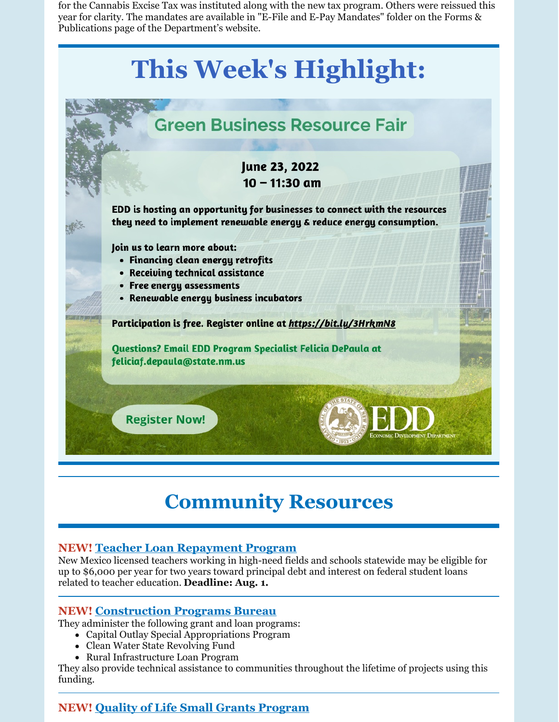for the Cannabis Excise Tax was instituted along with the new tax program. Others were reissued this year for clarity. The mandates are available in "E-File and E-Pay Mandates" folder on the Forms & Publications page of the Department's website.

# **This Week's Highlight:**



# **Community Resources**

## **NEW! Teacher Loan [Repayment](https://hed.state.nm.us/) Program**

New Mexico licensed teachers working in high-need fields and schools statewide may be eligible for up to \$6,000 per year for two years toward principal debt and interest on federal student loans related to teacher education. **Deadline: Aug. 1.**

#### **NEW! [Construction](https://www.env.nm.gov/construction-programs/) Programs Bureau**

They administer the following grant and loan programs:

- Capital Outlay Special Appropriations Program
- Clean Water State Revolving Fund
- Rural Infrastructure Loan Program

They also provide technical assistance to communities throughout the lifetime of projects using this funding.

# **NEW! Quality of Life Small Grants [Program](http://gcd.state.nm.us/quality-of-life-grant-program/#:~:text=The Governor%27s Commission on Disability,2023 Quality of Life Grant)**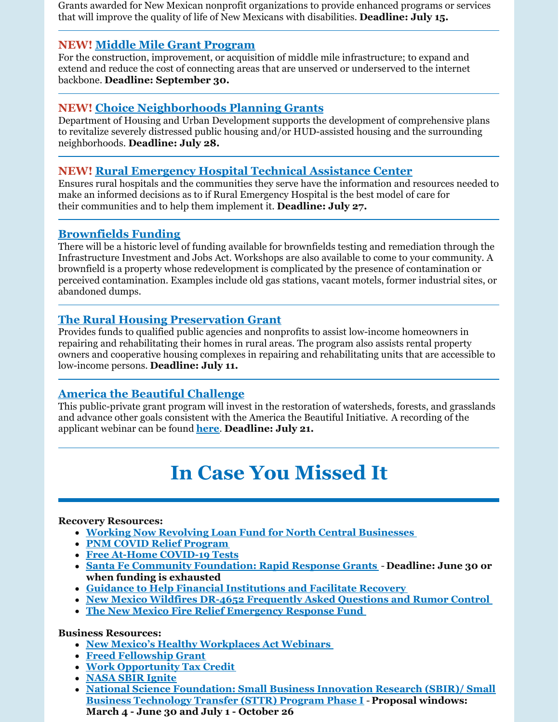Grants awarded for New Mexican nonprofit organizations to provide enhanced programs or services that will improve the quality of life of New Mexicans with disabilities. **Deadline: July 15.**

### **NEW! Middle Mile Grant [Program](https://www.grants.gov/web/grants/view-opportunity.html?oppId=340300&mc_cid=da89e3762d&mc_eid=3382b72bbd)**

For the construction, improvement, or acquisition of middle mile infrastructure; to expand and extend and reduce the cost of connecting areas that are unserved or underserved to the internet backbone. **Deadline: September 30.**

### **NEW! Choice [Neighborhoods](https://www.grants.gov/web/grants/view-opportunity.html?oppId=340208) Planning Grants**

Department of Housing and Urban Development supports the development of comprehensive plans to revitalize severely distressed public housing and/or HUD-assisted housing and the surrounding neighborhoods. **Deadline: July 28.**

### **NEW! Rural [Emergency](https://www.grants.gov/web/grants/view-opportunity.html?oppId=339575) Hospital Technical Assistance Center**

Ensures rural hospitals and the communities they serve have the information and resources needed to make an informed decisions as to if Rural Emergency Hospital is the best model of care for their communities and to help them implement it. **Deadline: July 27.**

### **[Brownfields](https://www.env.nm.gov/gwqb/brownfields-program/) Funding**

There will be a historic level of funding available for brownfields testing and remediation through the Infrastructure Investment and Jobs Act. Workshops are also available to come to your community. A brownfield is a property whose redevelopment is complicated by the presence of contamination or perceived contamination. Examples include old gas stations, vacant motels, former industrial sites, or abandoned dumps.

### **The Rural Housing [Preservation](https://www.grants.gov/web/grants/view-opportunity.html?oppId=340471) Grant**

Provides funds to qualified public agencies and nonprofits to assist low-income homeowners in repairing and rehabilitating their homes in rural areas. The program also assists rental property owners and cooperative housing complexes in repairing and rehabilitating units that are accessible to low-income persons. **Deadline: July 11.**

#### **America the Beautiful [Challenge](https://www.nfwf.org/programs/america-beautiful-challenge)**

This public-private grant program will invest in the restoration of watersheds, forests, and grasslands and advance other goals consistent with the America the Beautiful Initiative. A recording of the applicant webinar can be found **[here](https://register.gotowebinar.com/recording/7537083362335648002)**. **Deadline: July 21.**

# **In Case You Missed It**

#### **Recovery Resources:**

- **Working Now Revolving Loan Fund for North Central [Businesses](https://www.ncnmedd.com/rlf)**
- **PNM COVID Relief [Program](https://pnmcovd.powerclerk.com/Embed/Link?ProgramId=K7GCRH8D9NY3&ResourceType=form&ResourceId=QS76BRGNW56A)**
- **Free At-Home [COVID-19](https://special.usps.com/testkits) Tests**
- **Santa Fe Community [Foundation:](https://www.thegrantplantnm.com/grant-detail/santa-fe-community-foundation-rapid-response-grants/) Rapid Response Grants Deadline: June 30 or when funding is exhausted**
- **Guidance to Help Financial [Institutions](https://www.fdic.gov/news/financial-institution-letters/2022/fil22019.html#guidance) and Facilitate Recovery**
- **New Mexico Wildfires DR-4652 [Frequently](https://www.fema.gov/disaster/4652/faq-rumor) Asked Questions and Rumor Control**
- **The New Mexico Fire Relief [Emergency](https://albuquerquecf.fcsuite.com/erp/donate/create?funit_id=4333) Response Fund**

#### **Business Resources:**

- **New Mexico's Healthy [Workplaces](https://financenewmexico.org/new-programs-open-opportunities-and-announcements/paid-sick-leave-law-starts-july-1/?mc_cid=b371d98802&mc_eid=a292c21a12) Act Webinars**
- **Freed [Fellowship](https://www.freedfellowship.com/grant1) Grant**
- **Work [Opportunity](https://financenewmexico.org/new-programs-open-opportunities-and-announcements/tax-credit-helps-businesses-diversify/?mc_cid=b371d98802&mc_eid=a292c21a12) Tax Credit**
- **NASA SBIR [Ignite](https://sbir.nasa.gov/ignite?utm_medium=email&utm_source=govdelivery&mc_cid=b371d98802&mc_eid=a292c21a12)**
- **National Science [Foundation:](https://beta.nsf.gov/funding/opportunities/small-business-innovation-research-sbir-small-business-technology-transfer?utm_medium=email&utm_source=govdelivery&mc_cid=b371d98802&mc_eid=a292c21a12) Small Business Innovation Research (SBIR)/ Small Business Technology Transfer (STTR) Program Phase I** -**Proposal windows: March 4 - June 30 and July 1 - October 26**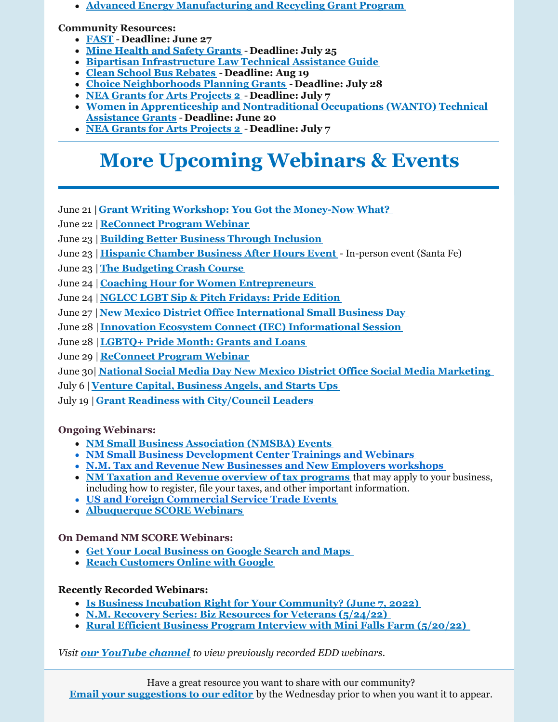**Advanced Energy [Manufacturing](https://www.energy.gov/eere/articles/us-department-energy-offers-targeted-technical-assistance-manufacturers-former-coal) and Recycling Grant Program**

**Community Resources:**

- **[FAST](https://www.grants.gov/web/grants/view-opportunity.html?oppId=340761) Deadline: June 27**
- **Mine Health and Safety [Grants](https://www.grants.gov/web/grants/view-opportunity.html?oppId=340628) Deadline: July 25**
- **Bipartisan [Infrastructure](https://www.whitehouse.gov/wp-content/uploads/2022/05/Infrastructure-Technical-Assistance-Guide_FINAL2.pdf) Law Technical Assistance Guide**
- **Clean School Bus [Rebates](https://www.epa.gov/cleanschoolbus/school-bus-rebates-clean-school-bus-program) Deadline: Aug 19**
- **Choice [Neighborhoods](https://www.grants.gov/web/grants/view-opportunity.html?oppId=340208) Planning Grants Deadline: July 28**
- **NEA Grants for Arts [Projects](https://www.grants.gov/web/grants/view-opportunity.html?oppId=340235) 2 Deadline: July 7**
- **Women in [Apprenticeship](https://www.grants.gov/web/grants/view-opportunity.html?oppId=340246) and Nontraditional Occupations (WANTO) Technical Assistance Grants** - **Deadline: June 20**
- **NEA Grants for Arts [Projects](https://www.grants.gov/web/grants/view-opportunity.html?oppId=340235) 2 Deadline: July 7**

# **More Upcoming Webinars & Events**

- June 21 | **Grant Writing Workshop: You Got the [Money-Now](https://gcc02.safelinks.protection.outlook.com/?url=https%3A%2F%2Fr20.rs6.net%2Ftn.jsp%3Ff%3D001rDZa5v6kIi8ZPXLfrwXqtEnPjxT0sH8Y4w_ITbcgX6TsLn2WeTmE_7a0qu73xd9F4m8NWfBKj2C_7iVDTAAupQCrsvaxoGLLUzkeBaqRVvLTUe6SMVvVEdVrUAsjHs6uYI1vWLMTa8BY3TyIRKsG5pjyaDfLMcrkJ7QGE5Zy7twA3QhoSVNuNcLIFGNEVOHC%26c%3DRneGoejP-gaPq7M77ZLvwZyZVQNLavCyzj3xywNvxWPBRBw4tgejZg%3D%3D%26ch%3DJB781o2OyGrvV9y5GzkHNyo6FYNOHWEFJgyb25IckXVw6dRRAL3hnw%3D%3D&data=04%7C01%7Cjennifer.myers%40state.nm.us%7Ce507173c32804900a0d708da1721a825%7C04aa6bf4d436426fbfa404b7a70e60ff%7C0%7C0%7C637847730574058851%7CUnknown%7CTWFpbGZsb3d8eyJWIjoiMC4wLjAwMDAiLCJQIjoiV2luMzIiLCJBTiI6Ik1haWwiLCJXVCI6Mn0%3D%7C3000&sdata=3fqEcUOHtj5F%2FrfJQNiWrim1hGESWSGZ9z5yF3Akqio%3D&reserved=0) What?**
- June 22 |**[ReConnect](https://www.zoomgov.com/webinar/register/WN_gLuh_YatTjO3eOI4pdsxsg) Program Webinar**
- June 23 | **Building Better Business Through [Inclusion](https://www.sba.gov/events/1713900)**
- June 23 | **Hispanic [Chamber](https://www.eventbrite.com/e/santa-fe-hispanic-chamber-of-commerce-business-after-hours-event-tickets-352894134857) Business After Hours Event** In-person event (Santa Fe)
- June 23 |**The [Budgeting](https://www.eventbrite.com/e/the-budgeting-crash-course-tickets-322634417227?aff=ebdssbonlinesearch) Crash Course**
- June 24 | **Coaching Hour for Women [Entrepreneurs](https://www.eventbrite.com/e/coaching-hour-for-women-entrepreneurs-tickets-306150182437?aff=ebdssbonlinesearch)**
- June 24 | **NGLCC LGBT Sip & Pitch [Fridays:](https://www.nglcc.org/events/nglcc-lgbt-sip-pitch-fridays-pride-edition-june-24-2022) Pride Edition**
- June 27 |**New Mexico District Office [International](https://content.govdelivery.com/accounts/USSBA/bulletins/31a268c) Small Business Day**
- June 28 | **Innovation Ecosystem Connect (IEC) [Informational](https://www.eventbrite.com/e/innovation-ecosystem-connect-iec-informational-session-tickets-323489414547) Session**
- June 28 |**[LGBTQ+](https://www.sba.gov/events/1713529) Pride Month: Grants and Loans**
- June 29 |**[ReConnect](https://www.zoomgov.com/webinar/register/WN_gLuh_YatTjO3eOI4pdsxsg) Program Webinar**
- June 30| **National Social Media Day New Mexico District Office Social Media [Marketing](https://content.govdelivery.com/accounts/USSBA/bulletins/31a268c?reqfrom=share)**
- July 6 |**Venture Capital, [Business](https://tiolita.com/eventbrite-event/insead-workshop-venture-capital-business-angels-and-starts-ups/) Angels, and Starts Ups**
- July 19 | **Grant Readiness with [City/Council](https://www.eventbrite.com/e/grant-readiness-workshop-with-citycounty-leaders-tickets-338341427317?aff=ebdssbonlinesearch) Leaders**

#### **Ongoing Webinars:**

- **NM Small Business [Association](https://www.sba.gov/offices/district/nm/albuquerque) (NMSBA) Events**
- **NM Small Business [Development](http://www.nmsbdc.org/workshop-and-events.aspx) Center Trainings and Webinars**
- **N.M. Tax and Revenue New [Businesses](http://www.tax.newmexico.gov/workshop-schedule.aspx) and New Employers workshops**
- **NM Taxation and Revenue overview of tax [programs](https://www.youtube.com/watch?v=eiGiS04Cwbk)** that may apply to your business, including how to register, file your taxes, and other important information.
- **US and Foreign [Commercial](https://www.trade.gov/trade-events-search#/search?event_types=Seminar-Webinar&offset=0&start_date_range%5Bfrom%5D=2019-12-01&start_date_range%5Bto%5D=2024-03-31) Service Trade Events**
- **[Albuquerque](https://albuquerque.score.org/our-workshops-0) SCORE Webinars**

### **On Demand NM SCORE Webinars:**

- **Get Your Local [Business](https://albuquerque.score.org/event/get-your-business-google-search-maps) on Google Search and Maps**
- **Reach [Customers](https://albuquerque.score.org/event/reach-customers-online-with-google-w) Online with Google**

#### **Recently Recorded Webinars:**

- **Is Business Incubation Right for Your [Community?](https://youtu.be/0lQCGO8JiuU) (June 7, 2022)**
- **N.M. Recovery Series: Biz [Resources](https://youtu.be/DP9rdot_bps) for Veterans (5/24/22)**
- **Rural Efficient Business Program Interview with Mini Falls Farm [\(5/20/22\)](https://youtu.be/REpic9UhTCA)**

#### *Visit our [YouTube](https://www.youtube.com/channel/UCEVKlfuuLNl4R0VH6GsxZRQ) channel to view previously recorded EDD webinars.*